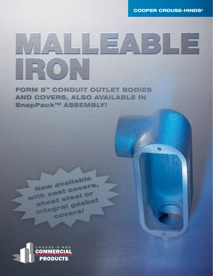**COOPER CROUSE-HINDS®** 

**Sep** 

# $\Box$   $\Box$   $\land$  $E\setminus \Box$  $\left| \frac{P}{P} \left\{ 0 \right\} \right|$

**FORM 5" CONDUIT OUTLET BODIES AND COVERS, ALSO AVAILABLE IN SnapPack™ ASSEMBLY!** 



Now available

with cast covers,

sheet steel or

Integral gasket

covers!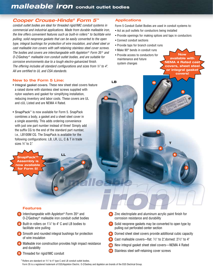## *malleable iron* conduit outlet bodies

### *Cooper Crouse-Hinds® Form 5™*

*conduit outlet bodies are ideal for threaded rigid/IMC conduit systems in commercial and industrial applications. Made from durable malleable iron, the line offers convenient features such as built-in rollers\* to facilitate wire pulling, solid neoprene gaskets that can be easily converted to the open type, integral bushings for protection of wire insulation, and sheet steel or cast malleable iron covers with self-retaining stainless steel cover screws. The bodies and covers are interchangeable with Appleton*<sup>®</sup> *Form 35*<sup>®</sup> and *O-Z/Gedney* ® *malleable iron conduit outlet bodies, and are suitable for corrosive environments due to a tough electro-galvanized finish. The offering includes all standard configurations and sizes from ½" to 4". All are certified to UL and CSA standards.* 

#### Applications

Form 5 Conduit Outlet Bodies are used in conduit systems to:

- Act as pull outlets for conductors being installed
- Provide openings for making splices and taps in conductors

10

• Connect conduit sections

1

LB

2

- Provide taps for branch conduit runs
- Make 90° bends in conduit runs
- Provide access to conductors for maintenance and future system changes

**Now** available with NEMA 4 Rated cast covers, sheet steel or integral gasket covers!

9

T

6

4

5

3

#### New to the Form 5 Line:

- Integral gasket covers. These new sheet steel covers feature a raised dome with stainless steel screws supplied with nylon washers and gasket for simplifying installation, reducing inventory and labor costs. These covers are UL and cUL Listed and are NEMA 4 Rated.
- SnapPack™ is now available for Form 5. SnapPack combines a body, a gasket and a sheet steel cover in a single assembly. This adds ordering convenience with just one part number instead of three! Simply add the suffix CG to the end of the standard part number, i.e., LB100M CG. The SnapPack is available for the following configurations: LB, LR, LL, C & T in trade sizes ½" to 2."

LL

8

7

SnapPack™ Assembly is now available or Form 5!

#### Features

**1** Interchangeable with Appleton<sup>®</sup> Form 35<sup>®</sup> and O-Z/Gedney® malleable iron conduit outlet bodies

11

- **2** Built-in rollers on  $1\frac{1}{4}$  to 4" C and LB bodies to facilitate wire pulling
- **3** Smooth and rounded integral bushings for protection of wire insulation
- 4) Malleable iron construction provides high impact resistance and durability
- 5 Threaded for rigid/IMC conduit
- Zinc electroplate and aluminum acrylic paint finish for 6 corrosion resistance and durability
- **7** Solid neoprene gaskets may be converted to open type by pulling out perforated center section
- **8** Domed sheet steel covers provide additional cubic capacity
- **9** Cast malleable covers—flat:  $\frac{1}{2}$ " to 2," domed:  $2\frac{1}{2}$ " to 4"
- New integral gasket sheet steel covers—NEMA 4 Rated 10
- Stainless steel self-retaining cover screws 11

\*Rollers are standard on 11 ⁄4" to 4" type C and LB conduit outlet bodies. Form 35 is a registered trademark of EGS/Appleton Electric. O-Z/Gedney and Appleton are brands of the EGS Electrical Group.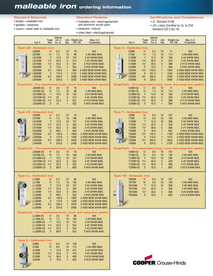## *malleable iron* ordering information

#### Standard Materials

- bodies—malleable iron
- gaskets—neoprene
- covers—sheet steel or malleable iron

#### Standard Finishes

• neoprene—natural

• malleable iron—electrogalvanized and aluminum acrylic paint

• sheet steel—electrogalvanized

Certifications and Compliances • UL Standard 514B

• cUL Listed (Certified by UL to CSA Standard C22.2 No.18)

|                       | Cat. #                                                                                                                                                                                           | Trade<br><b>Size</b>                                                                                                                    | Internal<br>Vol. in<br>Cu. In.                                                 | Qty.                                                                                                       | Unit Weight Lbs.<br><b>Per 100</b>                                    | Max. $# of$<br>Conductors                                                                                                                                                                        | Cat. #                                                                                                                                                                  | Trade<br><b>Size</b>                                                                                                                      | Internal<br>Vol. in<br>Cu. In.                                                 | Unit<br>Qty.                                                                                                  | Weight Lbs.<br>Per 100                                                 | Max. $# of$<br>Conductors                                                                                                                                                                                                                                    |
|-----------------------|--------------------------------------------------------------------------------------------------------------------------------------------------------------------------------------------------|-----------------------------------------------------------------------------------------------------------------------------------------|--------------------------------------------------------------------------------|------------------------------------------------------------------------------------------------------------|-----------------------------------------------------------------------|--------------------------------------------------------------------------------------------------------------------------------------------------------------------------------------------------|-------------------------------------------------------------------------------------------------------------------------------------------------------------------------|-------------------------------------------------------------------------------------------------------------------------------------------|--------------------------------------------------------------------------------|---------------------------------------------------------------------------------------------------------------|------------------------------------------------------------------------|--------------------------------------------------------------------------------------------------------------------------------------------------------------------------------------------------------------------------------------------------------------|
| ⊛                     | <b>Type LB - Malleable Iron</b><br>LB50M<br><b>LB75M</b><br><b>LB100M</b><br><b>LB125M</b><br><b>LB150M</b><br><b>LB200M</b><br><b>LB250M</b><br><b>LB300M</b><br><b>LB350M</b><br><b>LB400M</b> | $1/2$ "<br>$\frac{3}{4}$<br>$1^{\circ}$<br>$1\frac{1}{4}$<br>$1\frac{1}{2}$<br>2"<br>$2\frac{1}{2}$<br>3"<br>3 <sup>1</sup><br>4"       | 4.5<br>7.5<br>12.5<br>32.0<br>35.3<br>73.0<br>142.0<br>173.0<br>292.0<br>324.0 | 10<br>10<br>10<br>5<br>5<br>$\mathbf{1}$<br>$\mathbf{1}$<br>$\overline{1}$<br>$\mathbf{1}$<br>$\mathbf{1}$ | 79<br>98<br>152<br>314<br>331<br>552<br>994<br>1132<br>2099<br>2320   | N/A<br>3 #6 AWG MAX.<br>3 #4 XHHW MAX.<br>3 #2 XHHW MAX.<br>3 #1/0 XHHW MAX.<br>3 #4/0 XHHW MAX.<br>3 #300 MCM XHHW MAX.<br>3 #400 MCM XHHW MAX.<br>3 #500 MCM XHHW MAX.<br>3 #500 MCM xHHW MAX. | <b>Type C-Malleable Iron</b><br>C <sub>50</sub> M<br><b>C75M</b><br>C100M<br>C125M<br>C150M<br>C200M<br>C250M<br>C300M<br>C350M<br>C400M                                | $\frac{1}{2}$<br>$\frac{3}{4}$ "<br>$1^{\circ}$<br>$1\frac{1}{4}$<br>$1\frac{1}{2}$<br>2"<br>$2\frac{1}{2}$<br>3"<br>3 <sup>1</sup><br>4" | 4.5<br>7.5<br>12.5<br>35.0<br>35.3<br>75.0<br>153.0<br>181.0<br>290.0<br>320.0 | 10<br>10<br>10<br>$5\phantom{.0}$<br>5<br>$\mathbf{1}$<br>$\mathbf{1}$<br>$\mathbf{1}$<br>$\overline{1}$<br>1 | 71<br>114<br>180<br>320<br>386<br>589<br>1000<br>1300<br>2200<br>2400  | N/A<br>3 #6 AWG MAX.<br>3 #4 XHHW MAX.<br>3 #2 XHHW MAX.<br>3 #1/0 XHHW MAX.<br>3 #4/0 XHHW MAX.<br>3 #300 MCM XHHW MAX.<br>3 #300 MCM XHHW MAX.<br>3 #350 MCM XHHW MAX.<br>3 #350 MCM XHHW MAX.<br>SnapPack - Pre-assembled body, cover and neoprene gasket |
|                       | LB50M-CG<br>LB75M-CG<br>LB100M-CG<br>LB125M-CG<br>LB150M-CG<br>LB200M-CG                                                                                                                         | $1/2$ "<br>$\frac{3}{4}$<br>$1^{\circ}$<br>$1\frac{1}{4}$<br>$1\frac{1}{2}$<br>2"                                                       | 4.5<br>7.5<br>12.5<br>32<br>35.3<br>73                                         | 10<br>10<br>10<br>5<br>5<br>$\mathbf{1}$                                                                   | 79<br>98<br>152<br>314<br>331<br>552                                  | SnapPack - Pre-assembled body, cover and neoprene gasket<br>N/A<br>3 #6 AWG MAX.<br>3 #4 XHHW MAX.<br>3 #2 XHHW MAX.<br>3 #1/0 XHHW MAX.<br>3 #4/0 XHHW MAX.                                     | C50M-CG<br>C75M-CG<br>C100M-CG<br>C125M-CG<br>C150M-CG<br><b>C200M-CG</b>                                                                                               | $\frac{1}{2}$<br>$\frac{3}{4}$ "<br>$1^{\circ}$<br>$1\frac{1}{4}$<br>$1\frac{1}{2}$<br>2"                                                 | 4.5<br>7.5<br>12.5<br>35.0<br>35.3<br>75.0                                     | 10<br>10<br>10<br>5<br>5<br>$\mathbf{1}$                                                                      | 71<br>114<br>180<br>320<br>386<br>589                                  | N/A<br>3 #6 AWG MAX.<br>3 #4 XHHW MAX.<br>3 #2 XHHW MAX.<br>3 #1/0 XHHW MAX.<br>3 #4/0 XHHW MAX.                                                                                                                                                             |
| $^{\circ}$<br>$\odot$ | <b>Type LR-Malleable Iron</b><br>LR50M<br>LR75M<br><b>LR100M</b><br><b>LR125M</b><br><b>LR150M</b><br><b>LR200M</b><br><b>LR250M</b><br><b>LR300M</b><br><b>LR350M</b><br><b>LR400M</b>          | $\frac{1}{2}$<br>$\frac{3}{4}$<br>$1^{\circ}$<br>$1\frac{1}{4}$<br>$1\frac{1}{2}$<br>2"<br>$2\frac{1}{2}$<br>3"<br>3 <sup>1</sup><br>4" | 4.5<br>7.5<br>12.5<br>32.0<br>35.3<br>68.0<br>142.0<br>173.0<br>292.0<br>324.0 | 10<br>10<br>10<br>5<br>5<br>$\mathbf{1}$<br>$\overline{1}$<br>$\mathbf{1}$<br>$\mathbf{1}$<br>$\mathbf{1}$ | 70<br>106<br>157<br>353<br>353<br>663<br>1000<br>1300<br>2200<br>2400 | N/A<br>3 #6 AWG MAX.<br>3 #4 XHHW MAX.<br>3 #2 XHHW MAX.<br>3 #2 XHHW MAX.<br>3 #4/0 XHHW MAX.<br>3 #300 MCM XHHW MAX.<br>3 #350 MCM XHHW MAX.<br>3 #350 MCM XHHW MAX.<br>3 #350 MCM XHHW MAX.   | <b>Type T - Malleable Iron</b><br><b>T50M</b><br><b>T75M</b><br><b>T100M</b><br>T125M<br><b>T150M</b><br>T200M<br><b>T250M</b><br><b>T300M</b><br>T350M<br><b>T400M</b> | $\frac{1}{2}$<br>$\frac{3}{4}$ "<br>$1^{\circ}$<br>$1\frac{1}{4}$<br>$1\frac{1}{2}$<br>2"<br>$2\frac{1}{2}$<br>3"<br>$3\frac{1}{2}$<br>4" | 6.0<br>9.5<br>15.0<br>33.0<br>36.0<br>76.0<br>142.0<br>173.0<br>292.0<br>324.0 | 10<br>10<br>10<br>5<br>5<br>$\mathbf{1}$<br>$\mathbf{1}$<br>$\mathbf{1}$<br>$\mathbf{1}$<br>$\mathbf{1}$      | 107<br>136<br>206<br>338<br>366<br>663<br>1188<br>1475<br>2650<br>2750 | N/A<br>3 #6 AWG MAX.<br>3 #4 XHHW MAX.<br>3 #2 XHHW MAX.<br>3 #1 XHHW MAX.<br>3 #2/0 XHHW MAX.<br>3 #300 MCM XHHW MAX.<br>3 #300 MCM XHHW MAX.<br>3 #350 MCM XHHW MAX.<br>3 #350 MCM XHHW MAX.                                                               |
|                       | LR50M-CG<br>LR75M-CG<br>LR100M-CG<br>LR125M-CG<br>LR150M-CG<br>LR200M-CG                                                                                                                         | $\frac{1}{2}$<br>$\frac{3}{4}$ "<br>$1^{\circ}$<br>$1\frac{1}{4}$<br>$1\frac{1}{2}$<br>2"                                               | 4.5<br>7.5<br>12.5<br>32.0<br>35.3<br>68.0                                     | 10<br>10<br>10<br>5<br>5<br>$\mathbf{1}$                                                                   | 70<br>106<br>157<br>353<br>353<br>663                                 | SnapPack - Pre-assembled body, cover and neoprene gasket<br>N/A<br>3 #6 AWG MAX.<br>3 #4 XHHW MAX.<br>3 #2 XHHW MAX.<br>3 #2 XHHW MAX.<br>3 #4/0 XHHW MAX.                                       | T50M-CG<br><b>T75M-CG</b><br><b>T100M-CG</b><br>T125M-CG<br><b>T150M-CG</b><br><b>T200M-CG</b>                                                                          | $\frac{1}{2}$<br>$\frac{3}{4}$ "<br>1"<br>$1\frac{1}{4}$<br>$1\frac{1}{2}$<br>2"                                                          | 6.0<br>9.5<br>15.0<br>33.0<br>36.0<br>76.0                                     | 10<br>10<br>10<br>5<br>5<br>$\mathbf{1}$                                                                      | 107<br>136<br>206<br>338<br>366<br>663                                 | SnapPack - Pre-assembled body, cover and neoprene gasket<br>N/A<br>3 #6 AWG MAX.<br>3 #4 XHHW MAX.<br>3 #2 XHHW MAX.<br>3 #1 XHHW MAX.<br>3 #2/0 XHHW MAX.                                                                                                   |
|                       | <b>Type LL-Malleable Iron</b><br>LL50M<br><b>LL75M</b><br><b>LL100M</b><br><b>LL125M</b><br><b>LL150M</b><br><b>LL200M</b><br><b>LL250M</b><br><b>LL300M</b><br><b>LL350M</b><br><b>LL400M</b>   | $1/2$ "<br>$\frac{3}{4}$<br>1"<br>$1\frac{1}{4}$<br>$1\frac{1}{2}$<br>2"<br>$2\frac{1}{2}$<br>3"<br>$3\frac{1}{2}$<br>4"                | 4.5<br>7.5<br>12.5<br>32.0<br>33.0<br>68.0<br>142.0<br>173.0<br>292.0<br>324.0 | 10<br>10<br>10<br>5<br>5<br>1<br>1<br>$\mathbf{1}$                                                         | 86<br>105<br>157<br>354<br>354<br>552<br>1000<br>1300<br>2200<br>2400 | N/A<br>3 #6 AWG MAX.<br>3 #4 XHHW MAX.<br>3 #2 XHHW MAX.<br>$3#2$ XHHW MAX.<br>3 #4/0 XHHW MAX.<br>3 #300 MCM XHHW MAX.<br>3 #350 MCM XHHW MAX.<br>3 #350 MCM XHHW MAX.<br>3 #350 MCM XHHW MAX.  | <b>Type TB - Malleable Iron</b><br><b>TB50M</b><br><b>TB75M</b><br><b>TB100M</b><br><b>TB125M</b><br><b>TB150M</b><br><b>TB200M</b>                                     | $\frac{1}{2}$<br>$\frac{3}{4}$ "<br>1"<br>$1\frac{1}{4}$<br>$1\frac{1}{2}$<br>2"                                                          | 6.0<br>9.5<br>15.0<br>33.0<br>36.0<br>76.0                                     | 10<br>10<br>10<br>5<br>5<br>1                                                                                 | 107<br>136<br>206<br>338<br>366<br>663                                 | N/A<br>3 #6 AWG MAX.<br>3 #6 AWG MAX.<br>3 #6 AWG MAX.<br>3 #4 XHHW MAX.<br>3 #1/0 XHHW MAX.                                                                                                                                                                 |
|                       | LL50M-CG<br>LL75M-CG<br><b>LL100M-CG</b><br><b>LL125M-CG</b><br><b>LL150M-CG</b><br><b>LL200M-CG</b>                                                                                             | $1/2$ "<br>$\frac{3}{4}$<br>$1^{\circ}$<br>$1\frac{1}{4}$<br>$1\frac{1}{2}$<br>2"                                                       | 4.5<br>7.5<br>12.5<br>32.0<br>33.0<br>68.0                                     | 10<br>10<br>10<br>5<br>5<br>1                                                                              | 86<br>105<br>157<br>354<br>354<br>552                                 | SnapPack - Pre-assembled body, cover and neoprene gasket<br>N/A<br>3 #6 AWG MAX.<br>3 #4 XHHW MAX.<br>3 #2 XHHW MAX.<br>3 #2 XHHW MAX.<br>3 #4/0 XHHW MAX.                                       |                                                                                                                                                                         |                                                                                                                                           |                                                                                |                                                                                                               |                                                                        |                                                                                                                                                                                                                                                              |
|                       | <b>Type X - Malleable Iron</b><br><b>X50M</b><br><b>X75M</b><br><b>X100M</b><br><b>X125M</b><br><b>X150M</b><br><b>X200M</b>                                                                     | $\frac{1}{2}$<br>$\frac{3}{4}$<br>$1^{\circ}$<br>$1\frac{1}{4}$<br>$1\frac{1}{2}$<br>2"                                                 | 6.0<br>9.5<br>15.0<br>33.0<br>36.0<br>76.0                                     | 10<br>10<br>10<br>5<br>5<br>$\mathbf{1}$                                                                   | 139<br>172<br>247<br>416<br>463<br>833                                | N/A<br>3 #6 AWG MAX.<br>3 #4 XHHW MAX.<br>3 #2 XHHW MAX.<br>3 #1/0 XHHW MAX.<br>3 #2/0 XHHW MAX.                                                                                                 |                                                                                                                                                                         |                                                                                                                                           |                                                                                |                                                                                                               |                                                                        | <b>COOPER Crouse-Hinds</b>                                                                                                                                                                                                                                   |